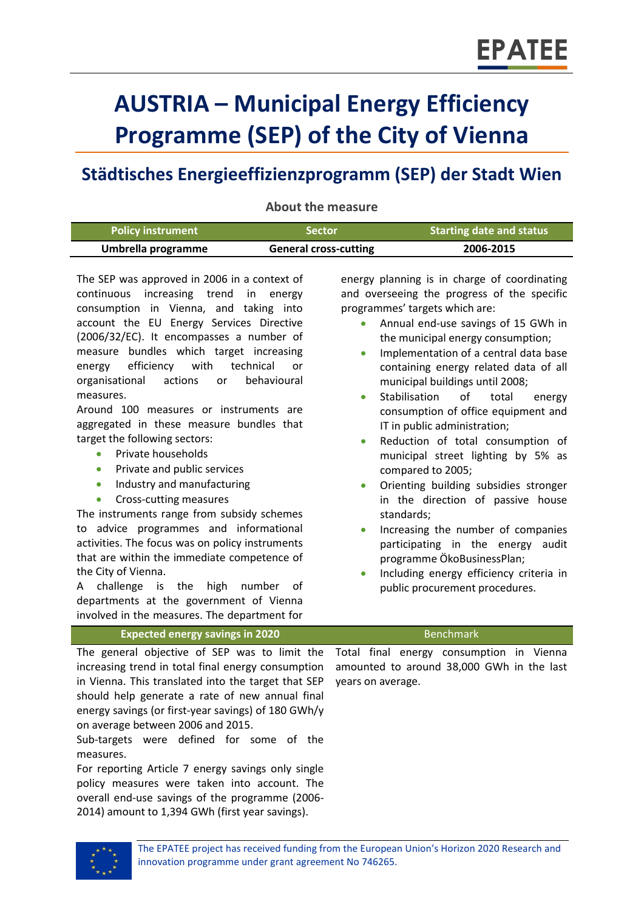# **AUSTRIA – Municipal Energy Efficiency Programme (SEP) of the City of Vienna**

## **Städtisches Energieeffizienzprogramm (SEP) der Stadt Wien**

**About the measure**

| <b>Policy instrument</b> | <b>/Sector</b>               | <b>Starting date and status</b> |
|--------------------------|------------------------------|---------------------------------|
| Umbrella programme       | <b>General cross-cutting</b> | 2006-2015                       |

The SEP was approved in 2006 in a context of continuous increasing trend in energy consumption in Vienna, and taking into account the EU Energy Services Directive (2006/32/EC). It encompasses a number of measure bundles which target increasing energy efficiency with technical or organisational actions or behavioural measures.

Around 100 measures or instruments are aggregated in these measure bundles that target the following sectors:

- Private households
- **•** Private and public services
- Industry and manufacturing
- Cross-cutting measures

The instruments range from subsidy schemes to advice programmes and informational activities. The focus was on policy instruments that are within the immediate competence of the City of Vienna.

A challenge is the high number of departments at the government of Vienna involved in the measures. The department for

energy planning is in charge of coordinating and overseeing the progress of the specific programmes' targets which are:

- Annual end-use savings of 15 GWh in the municipal energy consumption;
- Implementation of a central data base containing energy related data of all municipal buildings until 2008;
- Stabilisation of total energy consumption of office equipment and IT in public administration;
- Reduction of total consumption of municipal street lighting by 5% as compared to 2005;
- Orienting building subsidies stronger in the direction of passive house standards;
- Increasing the number of companies participating in the energy audit programme ÖkoBusinessPlan;
- Including energy efficiency criteria in public procurement procedures.

**Expected energy savings in 2020** Benchmark

The general objective of SEP was to limit the increasing trend in total final energy consumption in Vienna. This translated into the target that SEP should help generate a rate of new annual final energy savings (or first-year savings) of 180 GWh/y on average between 2006 and 2015.

Sub-targets were defined for some of the measures.

For reporting Article 7 energy savings only single policy measures were taken into account. The overall end-use savings of the programme (2006- 2014) amount to 1,394 GWh (first year savings).

Total final energy consumption in Vienna amounted to around 38,000 GWh in the last years on average.

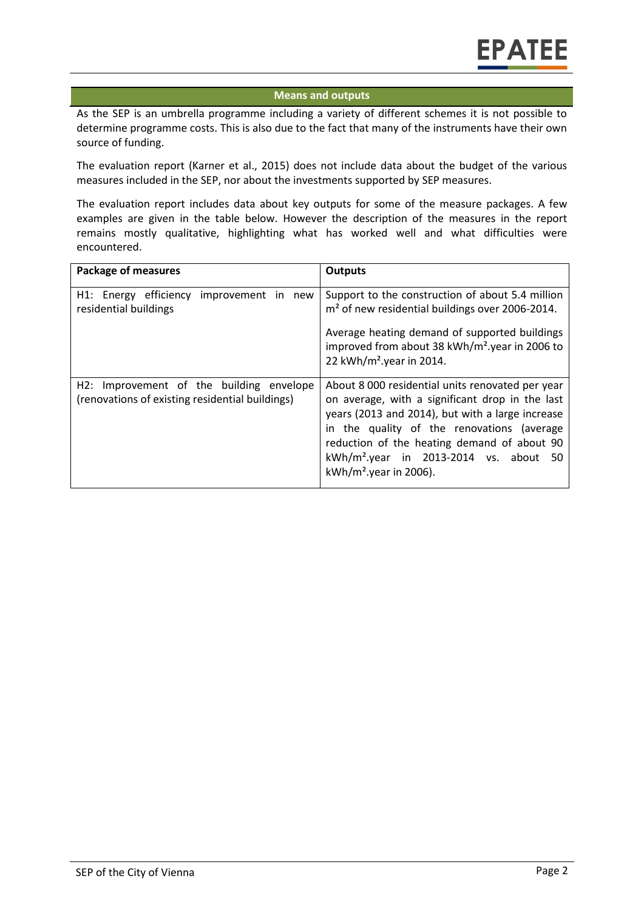#### **Means and outputs**

As the SEP is an umbrella programme including a variety of different schemes it is not possible to determine programme costs. This is also due to the fact that many of the instruments have their own source of funding.

The evaluation report (Karner et al., 2015) does not include data about the budget of the various measures included in the SEP, nor about the investments supported by SEP measures.

The evaluation report includes data about key outputs for some of the measure packages. A few examples are given in the table below. However the description of the measures in the report remains mostly qualitative, highlighting what has worked well and what difficulties were encountered.

| <b>Package of measures</b>                                                                  | <b>Outputs</b>                                                                                                                                                                                                                                                                                                                          |  |
|---------------------------------------------------------------------------------------------|-----------------------------------------------------------------------------------------------------------------------------------------------------------------------------------------------------------------------------------------------------------------------------------------------------------------------------------------|--|
| H1: Energy efficiency<br>improvement in new<br>residential buildings                        | Support to the construction of about 5.4 million<br>m <sup>2</sup> of new residential buildings over 2006-2014.                                                                                                                                                                                                                         |  |
|                                                                                             | Average heating demand of supported buildings<br>improved from about 38 kWh/m <sup>2</sup> year in 2006 to<br>22 kWh/m <sup>2</sup> .year in 2014.                                                                                                                                                                                      |  |
| H2: Improvement of the building envelope<br>(renovations of existing residential buildings) | About 8 000 residential units renovated per year<br>on average, with a significant drop in the last<br>years (2013 and 2014), but with a large increase<br>in the quality of the renovations (average<br>reduction of the heating demand of about 90<br>kWh/m <sup>2</sup> .year in 2013-2014 vs. about 50<br>$kWh/m2$ . year in 2006). |  |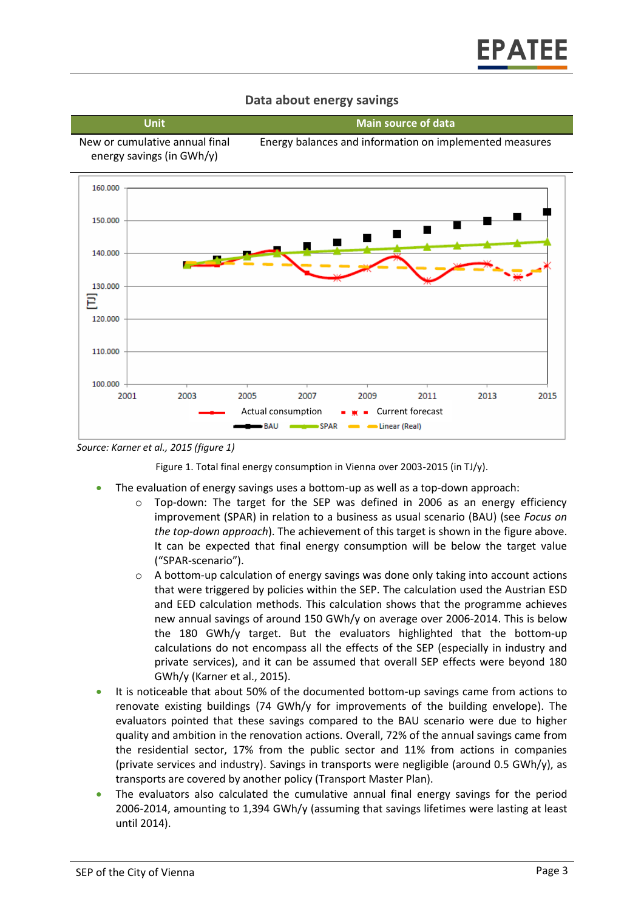#### **Data about energy savings**

**Unit Main source of data**





<span id="page-2-0"></span>*Source: Karner et al., 2015 (figure 1)*

Figure 1. Total final energy consumption in Vienna over 2003-2015 (in TJ/y).

- The evaluation of energy savings uses a bottom-up as well as a top-down approach:
	- $\circ$  Top-down: The target for the SEP was defined in 2006 as an energy efficiency improvement (SPAR) in relation to a business as usual scenario (BAU) (see *Focus on the top-down approach*). The achievement of this target is shown in the figure above. It can be expected that final energy consumption will be below the target value ("SPAR-scenario").
	- $\circ$  A bottom-up calculation of energy savings was done only taking into account actions that were triggered by policies within the SEP. The calculation used the Austrian ESD and EED calculation methods. This calculation shows that the programme achieves new annual savings of around 150 GWh/y on average over 2006-2014. This is below the 180 GWh/y target. But the evaluators highlighted that the bottom-up calculations do not encompass all the effects of the SEP (especially in industry and private services), and it can be assumed that overall SEP effects were beyond 180 GWh/y (Karner et al., 2015).
- It is noticeable that about 50% of the documented bottom-up savings came from actions to renovate existing buildings (74 GWh/y for improvements of the building envelope). The evaluators pointed that these savings compared to the BAU scenario were due to higher quality and ambition in the renovation actions. Overall, 72% of the annual savings came from the residential sector, 17% from the public sector and 11% from actions in companies (private services and industry). Savings in transports were negligible (around 0.5 GWh/y), as transports are covered by another policy (Transport Master Plan).
- The evaluators also calculated the cumulative annual final energy savings for the period 2006-2014, amounting to 1,394 GWh/y (assuming that savings lifetimes were lasting at least until 2014).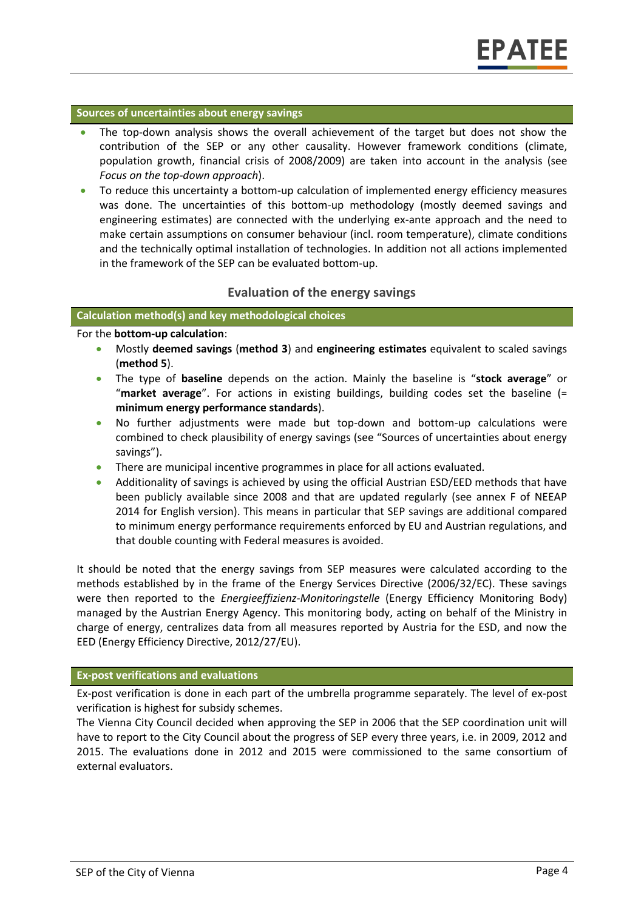#### **Sources of uncertainties about energy savings**

- The top-down analysis shows the overall achievement of the target but does not show the contribution of the SEP or any other causality. However framework conditions (climate, population growth, financial crisis of 2008/2009) are taken into account in the analysis (see *Focus on the top-down approach*).
- To reduce this uncertainty a bottom-up calculation of implemented energy efficiency measures was done. The uncertainties of this bottom-up methodology (mostly deemed savings and engineering estimates) are connected with the underlying ex-ante approach and the need to make certain assumptions on consumer behaviour (incl. room temperature), climate conditions and the technically optimal installation of technologies. In addition not all actions implemented in the framework of the SEP can be evaluated bottom-up.

#### **Evaluation of the energy savings**

#### **Calculation method(s) and key methodological choices**

For the **bottom-up calculation**:

- Mostly **deemed savings** (**method 3**) and **engineering estimates** equivalent to scaled savings (**method 5**).
- The type of **baseline** depends on the action. Mainly the baseline is "**stock average**" or "**market average**". For actions in existing buildings, building codes set the baseline (= **minimum energy performance standards**).
- No further adjustments were made but top-down and bottom-up calculations were combined to check plausibility of energy savings (see "Sources of uncertainties about energy savings").
- There are municipal incentive programmes in place for all actions evaluated.
- Additionality of savings is achieved by using the official Austrian ESD/EED methods that have been publicly available since 2008 and that are updated regularly (see annex F of NEEAP 2014 for English version). This means in particular that SEP savings are additional compared to minimum energy performance requirements enforced by EU and Austrian regulations, and that double counting with Federal measures is avoided.

It should be noted that the energy savings from SEP measures were calculated according to the methods established by in the frame of the Energy Services Directive (2006/32/EC). These savings were then reported to the *Energieeffizienz-Monitoringstelle* (Energy Efficiency Monitoring Body) managed by the Austrian Energy Agency. This monitoring body, acting on behalf of the Ministry in charge of energy, centralizes data from all measures reported by Austria for the ESD, and now the EED (Energy Efficiency Directive, 2012/27/EU).

#### **Ex-post verifications and evaluations**

Ex-post verification is done in each part of the umbrella programme separately. The level of ex-post verification is highest for subsidy schemes.

The Vienna City Council decided when approving the SEP in 2006 that the SEP coordination unit will have to report to the City Council about the progress of SEP every three years, i.e. in 2009, 2012 and 2015. The evaluations done in 2012 and 2015 were commissioned to the same consortium of external evaluators.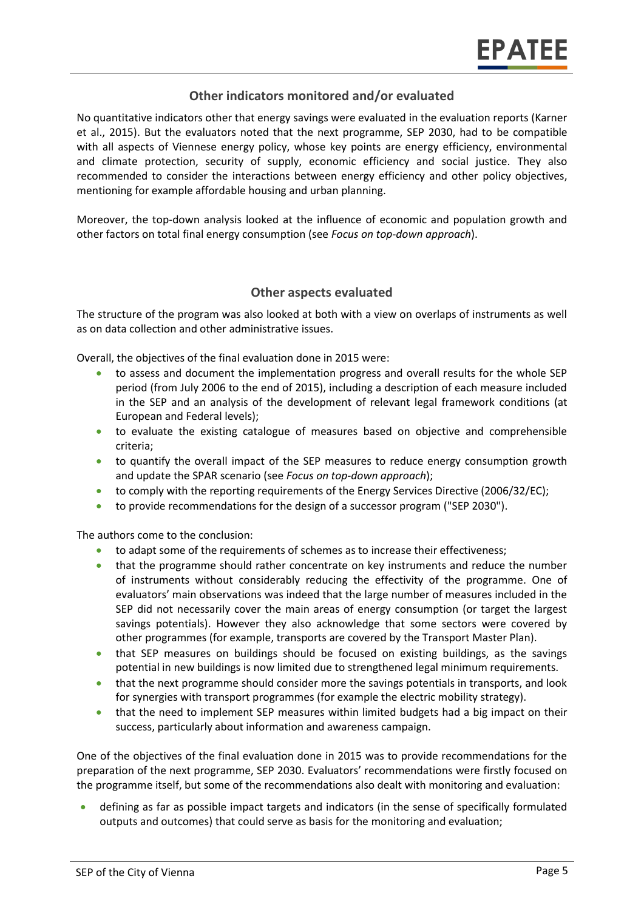#### **Other indicators monitored and/or evaluated**

No quantitative indicators other that energy savings were evaluated in the evaluation reports (Karner et al., 2015). But the evaluators noted that the next programme, SEP 2030, had to be compatible with all aspects of Viennese energy policy, whose key points are energy efficiency, environmental and climate protection, security of supply, economic efficiency and social justice. They also recommended to consider the interactions between energy efficiency and other policy objectives, mentioning for example affordable housing and urban planning.

Moreover, the top-down analysis looked at the influence of economic and population growth and other factors on total final energy consumption (see *Focus on top-down approach*).

#### **Other aspects evaluated**

The structure of the program was also looked at both with a view on overlaps of instruments as well as on data collection and other administrative issues.

Overall, the objectives of the final evaluation done in 2015 were:

- to assess and document the implementation progress and overall results for the whole SEP period (from July 2006 to the end of 2015), including a description of each measure included in the SEP and an analysis of the development of relevant legal framework conditions (at European and Federal levels);
- to evaluate the existing catalogue of measures based on objective and comprehensible criteria;
- to quantify the overall impact of the SEP measures to reduce energy consumption growth and update the SPAR scenario (see *Focus on top-down approach*);
- to comply with the reporting requirements of the Energy Services Directive (2006/32/EC);
- to provide recommendations for the design of a successor program ("SEP 2030").

The authors come to the conclusion:

- to adapt some of the requirements of schemes as to increase their effectiveness;
- that the programme should rather concentrate on key instruments and reduce the number of instruments without considerably reducing the effectivity of the programme. One of evaluators' main observations was indeed that the large number of measures included in the SEP did not necessarily cover the main areas of energy consumption (or target the largest savings potentials). However they also acknowledge that some sectors were covered by other programmes (for example, transports are covered by the Transport Master Plan).
- that SEP measures on buildings should be focused on existing buildings, as the savings potential in new buildings is now limited due to strengthened legal minimum requirements.
- that the next programme should consider more the savings potentials in transports, and look for synergies with transport programmes (for example the electric mobility strategy).
- that the need to implement SEP measures within limited budgets had a big impact on their success, particularly about information and awareness campaign.

One of the objectives of the final evaluation done in 2015 was to provide recommendations for the preparation of the next programme, SEP 2030. Evaluators' recommendations were firstly focused on the programme itself, but some of the recommendations also dealt with monitoring and evaluation:

 defining as far as possible impact targets and indicators (in the sense of specifically formulated outputs and outcomes) that could serve as basis for the monitoring and evaluation;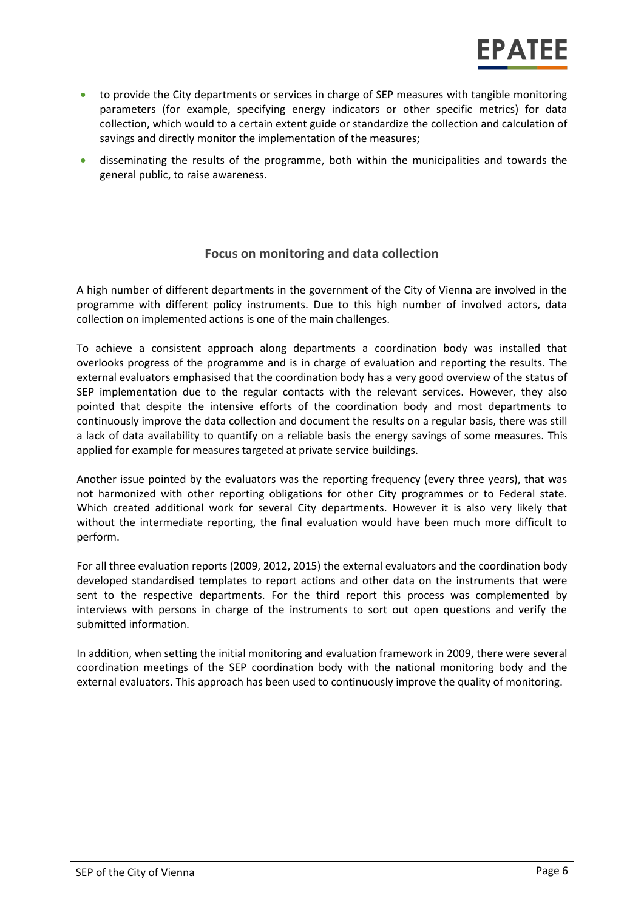- to provide the City departments or services in charge of SEP measures with tangible monitoring parameters (for example, specifying energy indicators or other specific metrics) for data collection, which would to a certain extent guide or standardize the collection and calculation of savings and directly monitor the implementation of the measures;
- disseminating the results of the programme, both within the municipalities and towards the general public, to raise awareness.

### **Focus on monitoring and data collection**

A high number of different departments in the government of the City of Vienna are involved in the programme with different policy instruments. Due to this high number of involved actors, data collection on implemented actions is one of the main challenges.

To achieve a consistent approach along departments a coordination body was installed that overlooks progress of the programme and is in charge of evaluation and reporting the results. The external evaluators emphasised that the coordination body has a very good overview of the status of SEP implementation due to the regular contacts with the relevant services. However, they also pointed that despite the intensive efforts of the coordination body and most departments to continuously improve the data collection and document the results on a regular basis, there was still a lack of data availability to quantify on a reliable basis the energy savings of some measures. This applied for example for measures targeted at private service buildings.

Another issue pointed by the evaluators was the reporting frequency (every three years), that was not harmonized with other reporting obligations for other City programmes or to Federal state. Which created additional work for several City departments. However it is also very likely that without the intermediate reporting, the final evaluation would have been much more difficult to perform.

For all three evaluation reports (2009, 2012, 2015) the external evaluators and the coordination body developed standardised templates to report actions and other data on the instruments that were sent to the respective departments. For the third report this process was complemented by interviews with persons in charge of the instruments to sort out open questions and verify the submitted information.

In addition, when setting the initial monitoring and evaluation framework in 2009, there were several coordination meetings of the SEP coordination body with the national monitoring body and the external evaluators. This approach has been used to continuously improve the quality of monitoring.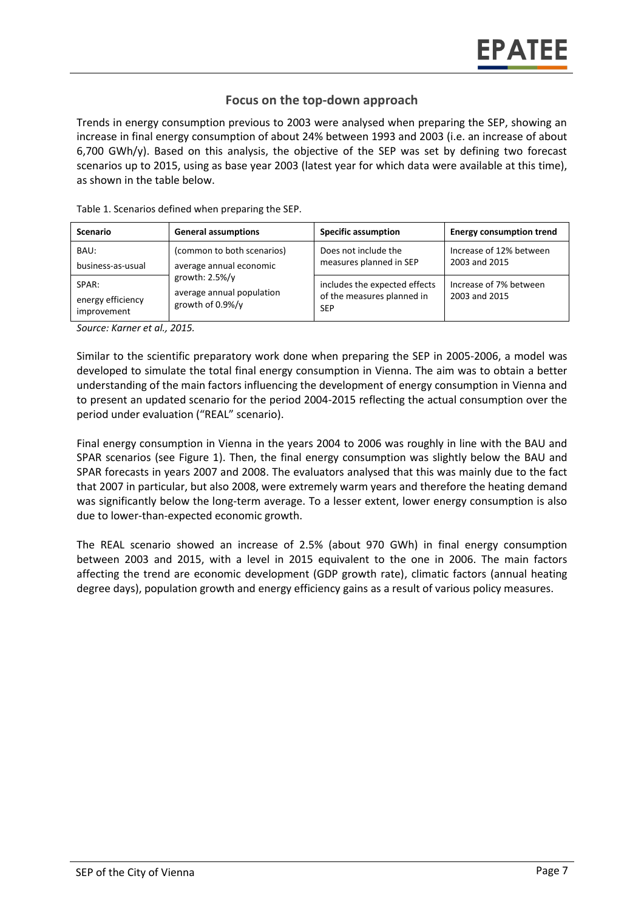#### **Focus on the top-down approach**

Trends in energy consumption previous to 2003 were analysed when preparing the SEP, showing an increase in final energy consumption of about 24% between 1993 and 2003 (i.e. an increase of about 6,700 GWh/y). Based on this analysis, the objective of the SEP was set by defining two forecast scenarios up to 2015, using as base year 2003 (latest year for which data were available at this time), as shown in the table below.

| <b>Scenario</b>                           | <b>General assumptions</b>                                                                                                  | <b>Specific assumption</b>                                                | <b>Energy consumption trend</b>          |
|-------------------------------------------|-----------------------------------------------------------------------------------------------------------------------------|---------------------------------------------------------------------------|------------------------------------------|
| BAU:<br>business-as-usual                 | (common to both scenarios)<br>average annual economic<br>growth: $2.5\%/y$<br>average annual population<br>growth of 0.9%/y | Does not include the<br>measures planned in SEP                           | Increase of 12% between<br>2003 and 2015 |
| SPAR:<br>energy efficiency<br>improvement |                                                                                                                             | includes the expected effects<br>of the measures planned in<br><b>SEP</b> | Increase of 7% between<br>2003 and 2015  |

Table 1. Scenarios defined when preparing the SEP.

*Source: Karner et al., 2015.*

Similar to the scientific preparatory work done when preparing the SEP in 2005-2006, a model was developed to simulate the total final energy consumption in Vienna. The aim was to obtain a better understanding of the main factors influencing the development of energy consumption in Vienna and to present an updated scenario for the period 2004-2015 reflecting the actual consumption over the period under evaluation ("REAL" scenario).

Final energy consumption in Vienna in the years 2004 to 2006 was roughly in line with the BAU and SPAR scenarios (see [Figure 1\)](#page-2-0). Then, the final energy consumption was slightly below the BAU and SPAR forecasts in years 2007 and 2008. The evaluators analysed that this was mainly due to the fact that 2007 in particular, but also 2008, were extremely warm years and therefore the heating demand was significantly below the long-term average. To a lesser extent, lower energy consumption is also due to lower-than-expected economic growth.

The REAL scenario showed an increase of 2.5% (about 970 GWh) in final energy consumption between 2003 and 2015, with a level in 2015 equivalent to the one in 2006. The main factors affecting the trend are economic development (GDP growth rate), climatic factors (annual heating degree days), population growth and energy efficiency gains as a result of various policy measures.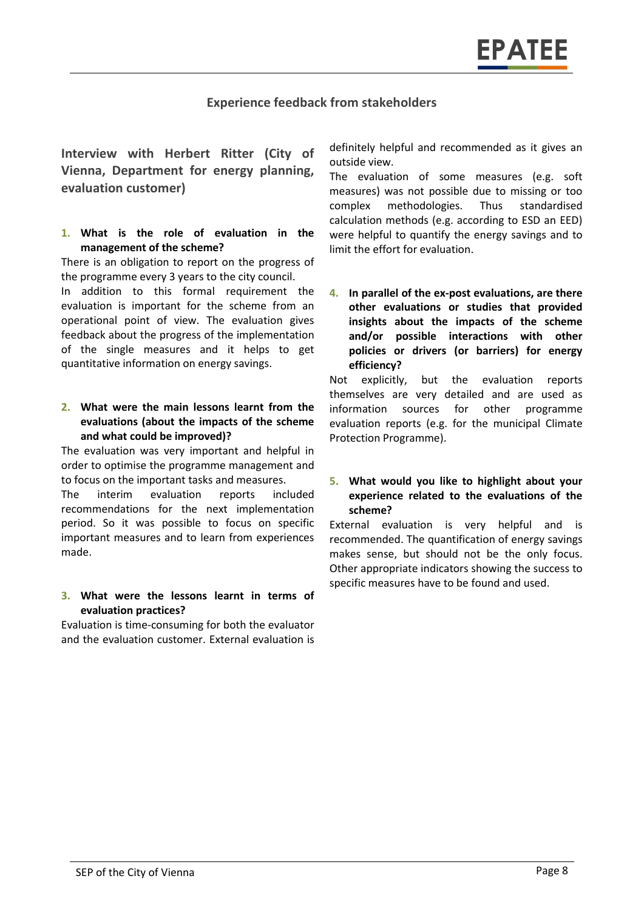#### **Experience feedback from stakeholders**

**Interview with Herbert Ritter (City of Vienna, Department for energy planning, evaluation customer)**

#### **1. What is the role of evaluation in the management of the scheme?**

There is an obligation to report on the progress of the programme every 3 years to the city council.

In addition to this formal requirement the evaluation is important for the scheme from an operational point of view. The evaluation gives feedback about the progress of the implementation of the single measures and it helps to get quantitative information on energy savings.

#### **2. What were the main lessons learnt from the evaluations (about the impacts of the scheme and what could be improved)?**

The evaluation was very important and helpful in order to optimise the programme management and to focus on the important tasks and measures.

The interim evaluation reports included recommendations for the next implementation period. So it was possible to focus on specific important measures and to learn from experiences made.

#### **3. What were the lessons learnt in terms of evaluation practices?**

Evaluation is time-consuming for both the evaluator and the evaluation customer. External evaluation is

definitely helpful and recommended as it gives an outside view.

The evaluation of some measures (e.g. soft measures) was not possible due to missing or too complex methodologies. Thus standardised calculation methods (e.g. according to ESD an EED) were helpful to quantify the energy savings and to limit the effort for evaluation.

**4. In parallel of the ex-post evaluations, are there other evaluations or studies that provided insights about the impacts of the scheme and/or possible interactions with other policies or drivers (or barriers) for energy efficiency?**

Not explicitly, but the evaluation reports themselves are very detailed and are used as information sources for other programme evaluation reports (e.g. for the municipal Climate Protection Programme).

#### **5. What would you like to highlight about your experience related to the evaluations of the scheme?**

External evaluation is very helpful and is recommended. The quantification of energy savings makes sense, but should not be the only focus. Other appropriate indicators showing the success to specific measures have to be found and used.